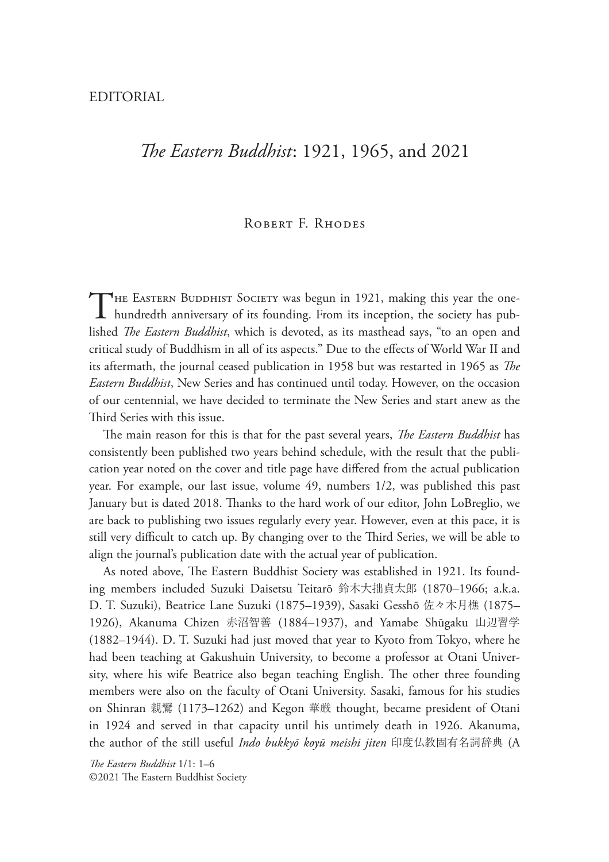## *!e Eastern Buddhist*: 1921, 1965, and 2021

## ROBERT F. RHODES

THE EASTERN BUDDHIST SOCIETY was begun in 1921, making this year the one-<br>hundredth anniversary of its founding. From its inception, the society has published *The Eastern Buddhist*, which is devoted, as its masthead says, "to an open and critical study of Buddhism in all of its aspects." Due to the effects of World War II and its aftermath, the journal ceased publication in 1958 but was restarted in 1965 as *The Eastern Buddhist*, New Series and has continued until today. However, on the occasion of our centennial, we have decided to terminate the New Series and start anew as the Third Series with this issue.

The main reason for this is that for the past several years, *The Eastern Buddhist* has consistently been published two years behind schedule, with the result that the publication year noted on the cover and title page have differed from the actual publication year. For example, our last issue, volume 49, numbers 1/2, was published this past January but is dated 2018. Thanks to the hard work of our editor, John LoBreglio, we are back to publishing two issues regularly every year. However, even at this pace, it is still very difficult to catch up. By changing over to the Third Series, we will be able to align the journal's publication date with the actual year of publication.

As noted above, The Eastern Buddhist Society was established in 1921. Its founding members included Suzuki Daisetsu Teitarō 鈴木大拙貞太郎 (1870–1966; a.k.a. D. T. Suzuki), Beatrice Lane Suzuki (1875–1939), Sasaki Gesshō 佐々木月樵 (1875– 1926), Akanuma Chizen 赤沼智善 (1884–1937), and Yamabe Shūgaku 山辺習学 (1882–1944). D. T. Suzuki had just moved that year to Kyoto from Tokyo, where he had been teaching at Gakushuin University, to become a professor at Otani University, where his wife Beatrice also began teaching English. The other three founding members were also on the faculty of Otani University. Sasaki, famous for his studies on Shinran 親鸞 (1173–1262) and Kegon 華厳 thought, became president of Otani in 1924 and served in that capacity until his untimely death in 1926. Akanuma, the author of the still useful *Indo bukkyō koyū meishi jiten* 印度仏教固有名詞辞典 (A

*!e Eastern Buddhist* 1/1: 1–6 ©2021 The Eastern Buddhist Society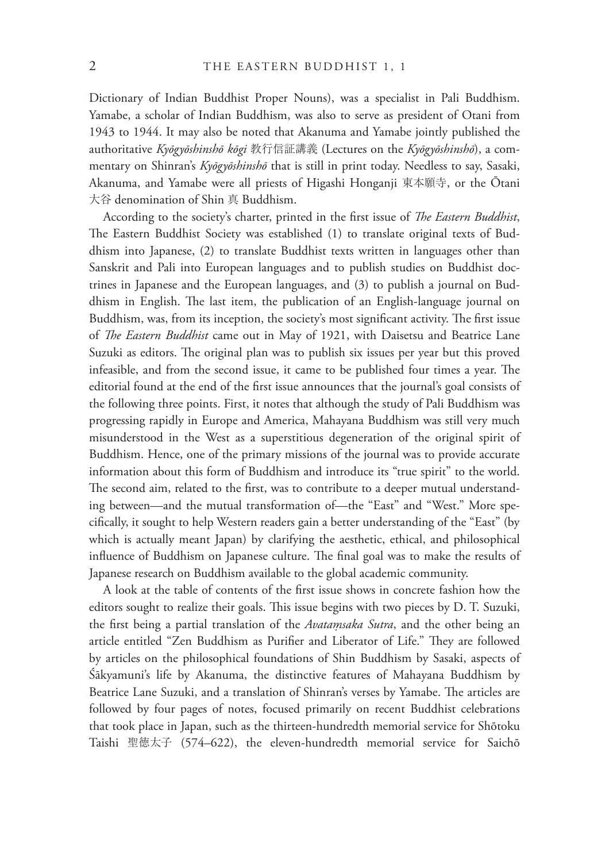Dictionary of Indian Buddhist Proper Nouns), was a specialist in Pali Buddhism. Yamabe, a scholar of Indian Buddhism, was also to serve as president of Otani from 1943 to 1944. It may also be noted that Akanuma and Yamabe jointly published the authoritative *Kyōgyōshinshō kōgi* 教行信証講義 (Lectures on the *Kyōgyōshinshō*), a commentary on Shinran's *Kyōgyōshinshō* that is still in print today. Needless to say, Sasaki, Akanuma, and Yamabe were all priests of Higashi Honganji 東本願寺, or the Ōtani 大谷 denomination of Shin 真 Buddhism.

According to the society's charter, printed in the first issue of *The Eastern Buddhist*, The Eastern Buddhist Society was established (1) to translate original texts of Buddhism into Japanese, (2) to translate Buddhist texts written in languages other than Sanskrit and Pali into European languages and to publish studies on Buddhist doctrines in Japanese and the European languages, and (3) to publish a journal on Buddhism in English. The last item, the publication of an English-language journal on Buddhism, was, from its inception, the society's most significant activity. The first issue of *The Eastern Buddhist* came out in May of 1921, with Daisetsu and Beatrice Lane Suzuki as editors. The original plan was to publish six issues per year but this proved infeasible, and from the second issue, it came to be published four times a year. The editorial found at the end of the first issue announces that the journal's goal consists of the following three points. First, it notes that although the study of Pali Buddhism was progressing rapidly in Europe and America, Mahayana Buddhism was still very much misunderstood in the West as a superstitious degeneration of the original spirit of Buddhism. Hence, one of the primary missions of the journal was to provide accurate information about this form of Buddhism and introduce its "true spirit" to the world. The second aim, related to the first, was to contribute to a deeper mutual understanding between—and the mutual transformation of—the "East" and "West." More specifically, it sought to help Western readers gain a better understanding of the "East" (by which is actually meant Japan) by clarifying the aesthetic, ethical, and philosophical influence of Buddhism on Japanese culture. The final goal was to make the results of Japanese research on Buddhism available to the global academic community.

A look at the table of contents of the first issue shows in concrete fashion how the editors sought to realize their goals. This issue begins with two pieces by D. T. Suzuki, the first being a partial translation of the *Avatamsaka Sutra*, and the other being an article entitled "Zen Buddhism as Purifier and Liberator of Life." They are followed by articles on the philosophical foundations of Shin Buddhism by Sasaki, aspects of Śākyamuni's life by Akanuma, the distinctive features of Mahayana Buddhism by Beatrice Lane Suzuki, and a translation of Shinran's verses by Yamabe. The articles are followed by four pages of notes, focused primarily on recent Buddhist celebrations that took place in Japan, such as the thirteen-hundredth memorial service for Shōtoku Taishi 聖徳太子 (574–622), the eleven-hundredth memorial service for Saichō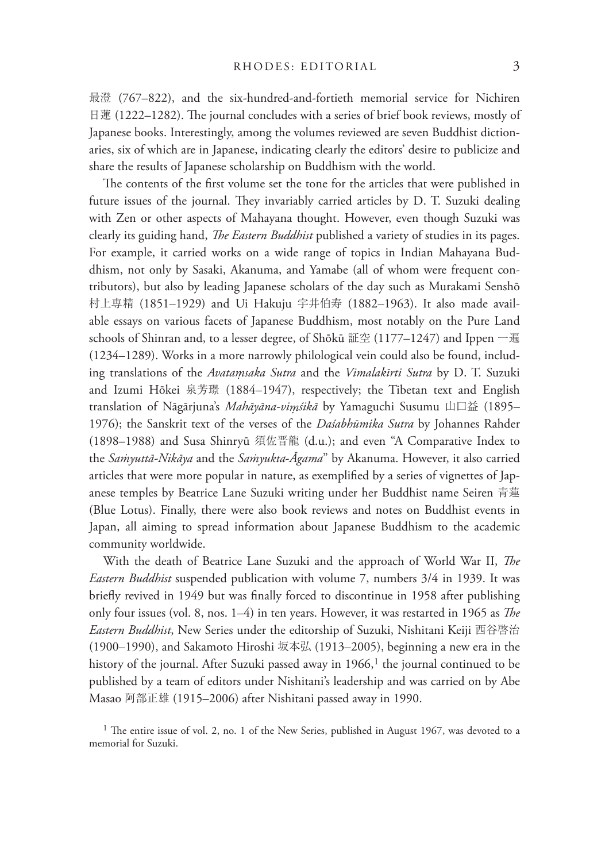最澄 (767–822), and the six-hundred-and-fortieth memorial service for Nichiren 日蓮 (1222–1282). The journal concludes with a series of brief book reviews, mostly of Japanese books. Interestingly, among the volumes reviewed are seven Buddhist dictionaries, six of which are in Japanese, indicating clearly the editors' desire to publicize and share the results of Japanese scholarship on Buddhism with the world.

The contents of the first volume set the tone for the articles that were published in future issues of the journal. They invariably carried articles by D. T. Suzuki dealing with Zen or other aspects of Mahayana thought. However, even though Suzuki was clearly its guiding hand, *The Eastern Buddhist* published a variety of studies in its pages. For example, it carried works on a wide range of topics in Indian Mahayana Buddhism, not only by Sasaki, Akanuma, and Yamabe (all of whom were frequent contributors), but also by leading Japanese scholars of the day such as Murakami Senshō 村上専精 (1851–1929) and Ui Hakuju 宇井伯寿 (1882–1963). It also made available essays on various facets of Japanese Buddhism, most notably on the Pure Land schools of Shinran and, to a lesser degree, of Shōkū 証空 (1177–1247) and Ippen 一遍 (1234–1289). Works in a more narrowly philological vein could also be found, including translations of the *Avatamsaka Sutra* and the *Vimalakīrti Sutra* by D. T. Suzuki and Izumi Hōkei 泉芳璟 (1884–1947), respectively; the Tibetan text and English translation of Nāgārjuna's *Mahāyāna-viṃśikā* by Yamaguchi Susumu 山口益 (1895– 1976); the Sanskrit text of the verses of the *Daśabhūmika Sutra* by Johannes Rahder (1898–1988) and Susa Shinryū 須佐晋龍 (d.u.); and even "A Comparative Index to the *Saͥyuttā-Nikāya* and the *Saͥyukta*-*Āgama*" by Akanuma. However, it also carried articles that were more popular in nature, as exemplified by a series of vignettes of Japanese temples by Beatrice Lane Suzuki writing under her Buddhist name Seiren 青蓮 (Blue Lotus). Finally, there were also book reviews and notes on Buddhist events in Japan, all aiming to spread information about Japanese Buddhism to the academic community worldwide.

With the death of Beatrice Lane Suzuki and the approach of World War II, *The Eastern Buddhist* suspended publication with volume 7, numbers 3/4 in 1939. It was briefly revived in 1949 but was finally forced to discontinue in 1958 after publishing only four issues (vol. 8, nos. 1–4) in ten years. However, it was restarted in 1965 as *The Eastern Buddhist*, New Series under the editorship of Suzuki, Nishitani Keiji 西谷啓治 (1900–1990), and Sakamoto Hiroshi 坂本弘 (1913–2005), beginning a new era in the history of the journal. After Suzuki passed away in  $1966$ ,<sup>1</sup> the journal continued to be published by a team of editors under Nishitani's leadership and was carried on by Abe Masao 阿部正雄 (1915–2006) after Nishitani passed away in 1990.

<sup>1</sup> The entire issue of vol. 2, no. 1 of the New Series, published in August 1967, was devoted to a memorial for Suzuki.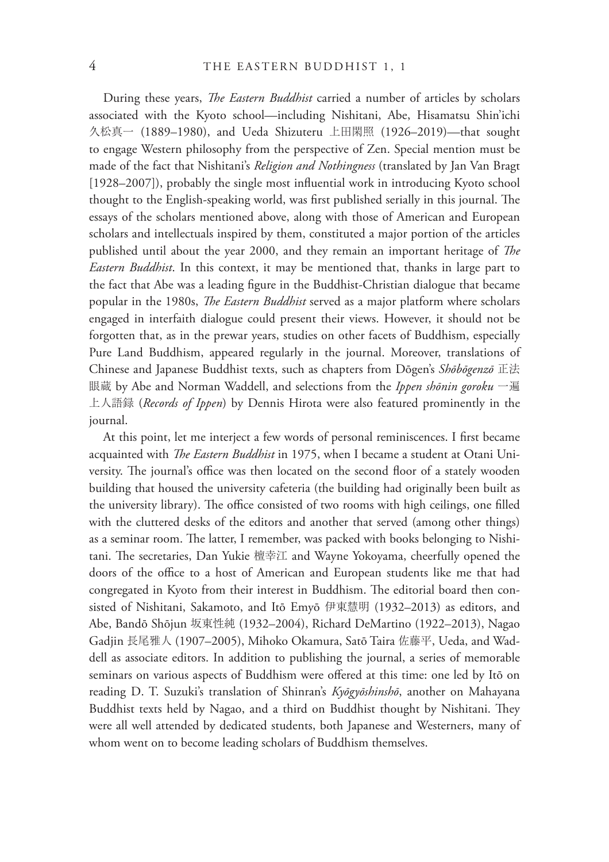During these years, *The Eastern Buddhist* carried a number of articles by scholars associated with the Kyoto school—including Nishitani, Abe, Hisamatsu Shin'ichi 久松真一 (1889–1980), and Ueda Shizuteru 上田閑照 (1926–2019)—that sought to engage Western philosophy from the perspective of Zen. Special mention must be made of the fact that Nishitani's *Religion and Nothingness* (translated by Jan Van Bragt [1928–2007]), probably the single most influential work in introducing Kyoto school thought to the English-speaking world, was first published serially in this journal. The essays of the scholars mentioned above, along with those of American and European scholars and intellectuals inspired by them, constituted a major portion of the articles published until about the year 2000, and they remain an important heritage of *The Eastern Buddhist*. In this context, it may be mentioned that, thanks in large part to the fact that Abe was a leading figure in the Buddhist-Christian dialogue that became popular in the 1980s, *The Eastern Buddhist* served as a major platform where scholars engaged in interfaith dialogue could present their views. However, it should not be forgotten that, as in the prewar years, studies on other facets of Buddhism, especially Pure Land Buddhism, appeared regularly in the journal. Moreover, translations of Chinese and Japanese Buddhist texts, such as chapters from Dōgen's *Shōbōgenzō* 正法 眼蔵 by Abe and Norman Waddell, and selections from the *Ippen shōnin goroku* 一遍 上人語録 (*Records of Ippen*) by Dennis Hirota were also featured prominently in the journal.

At this point, let me interject a few words of personal reminiscences. I first became acquainted with *The Eastern Buddhist* in 1975, when I became a student at Otani University. The journal's office was then located on the second floor of a stately wooden building that housed the university cafeteria (the building had originally been built as the university library). The office consisted of two rooms with high ceilings, one filled with the cluttered desks of the editors and another that served (among other things) as a seminar room. The latter, I remember, was packed with books belonging to Nishitani. The secretaries, Dan Yukie 檀幸江 and Wayne Yokoyama, cheerfully opened the doors of the office to a host of American and European students like me that had congregated in Kyoto from their interest in Buddhism. The editorial board then consisted of Nishitani, Sakamoto, and Itō Emyō 伊東慧明 (1932–2013) as editors, and Abe, Bandō Shōjun 坂東性純 (1932–2004), Richard DeMartino (1922–2013), Nagao Gadjin 長尾雅人 (1907–2005), Mihoko Okamura, Satō Taira 佐藤平, Ueda, and Waddell as associate editors. In addition to publishing the journal, a series of memorable seminars on various aspects of Buddhism were offered at this time: one led by Itō on reading D. T. Suzuki's translation of Shinran's *Kyōgyōshinshō*, another on Mahayana Buddhist texts held by Nagao, and a third on Buddhist thought by Nishitani. They were all well attended by dedicated students, both Japanese and Westerners, many of whom went on to become leading scholars of Buddhism themselves.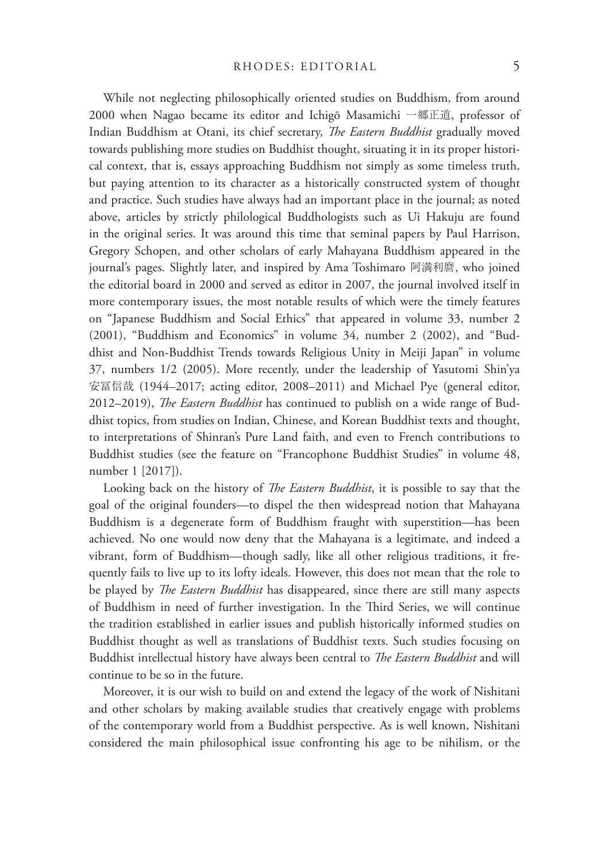While not neglecting philosophically oriented studies on Buddhism, from around 2000 when Nagao became its editor and Ichigō Masamichi 一郷正道, professor of Indian Buddhism at Otani, its chief secretary, *!e Eastern Buddhist* gradually moved towards publishing more studies on Buddhist thought, situating it in its proper historical context, that is, essays approaching Buddhism not simply as some timeless truth, but paying attention to its character as a historically constructed system of thought and practice. Such studies have always had an important place in the journal; as noted above, articles by strictly philological Buddhologists such as Ui Hakuju are found in the original series. It was around this time that seminal papers by Paul Harrison, Gregory Schopen, and other scholars of early Mahayana Buddhism appeared in the journal's pages. Slightly later, and inspired by Ama Toshimaro 阿満利麿, who joined the editorial board in 2000 and served as editor in 2007, the journal involved itself in more contemporary issues, the most notable results of which were the timely features on "Japanese Buddhism and Social Ethics" that appeared in volume 33, number 2 (2001), "Buddhism and Economics" in volume 34, number 2 (2002), and "Buddhist and Non-Buddhist Trends towards Religious Unity in Meiji Japan" in volume 37, numbers 1/2 (2005). More recently, under the leadership of Yasutomi Shin'ya 安冨信哉 (1944–2017; acting editor, 2008–2011) and Michael Pye (general editor, 2012–2019), *The Eastern Buddhist* has continued to publish on a wide range of Buddhist topics, from studies on Indian, Chinese, and Korean Buddhist texts and thought, to interpretations of Shinran's Pure Land faith, and even to French contributions to Buddhist studies (see the feature on "Francophone Buddhist Studies" in volume 48, number 1 [2017]).

Looking back on the history of *The Eastern Buddhist*, it is possible to say that the goal of the original founders—to dispel the then widespread notion that Mahayana Buddhism is a degenerate form of Buddhism fraught with superstition—has been achieved. No one would now deny that the Mahayana is a legitimate, and indeed a vibrant, form of Buddhism—though sadly, like all other religious traditions, it frequently fails to live up to its lofty ideals. However, this does not mean that the role to be played by *The Eastern Buddhist* has disappeared, since there are still many aspects of Buddhism in need of further investigation. In the Third Series, we will continue the tradition established in earlier issues and publish historically informed studies on Buddhist thought as well as translations of Buddhist texts. Such studies focusing on Buddhist intellectual history have always been central to *!e Eastern Buddhist* and will continue to be so in the future.

Moreover, it is our wish to build on and extend the legacy of the work of Nishitani and other scholars by making available studies that creatively engage with problems of the contemporary world from a Buddhist perspective. As is well known, Nishitani considered the main philosophical issue confronting his age to be nihilism, or the